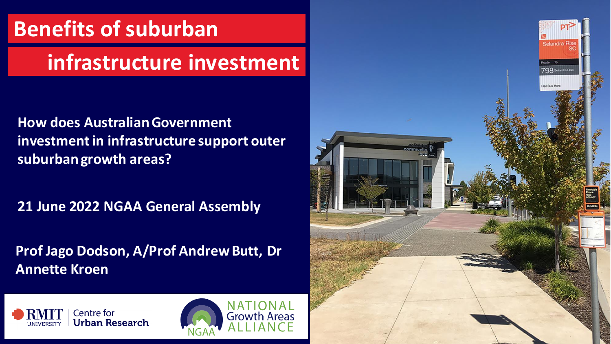### **Benefits of suburban**

### **infrastructure investment**

**How does Australian Government investment in infrastructure support outer suburban growth areas?**

**21 June 2022 NGAA General Assembly**

**Prof Jago Dodson, A/Prof Andrew Butt, Dr Annette Kroen**





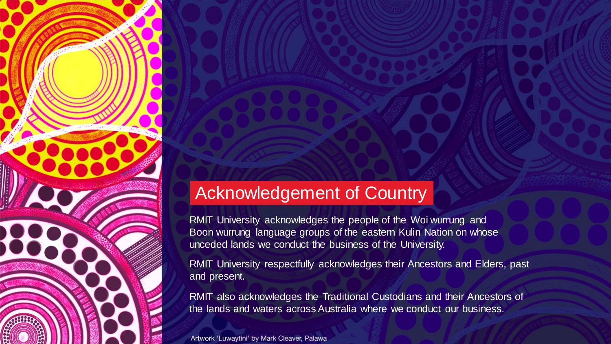#### Acknowledgement of Country

RMIT University acknowledges the people of the Woi wurrung and Boon wurrung language groups of the eastern Kulin Nation on whose unceded lands we conduct the business of the University.

RMIT University respectfully acknowledges their Ancestors and Elders, past and present.

RMIT also acknowledges the Traditional Custodians and their Ancestors of the lands and waters across Australia where we conduct our business.

Artwork 'Luwaytini' by Mark Cleaver, Palawa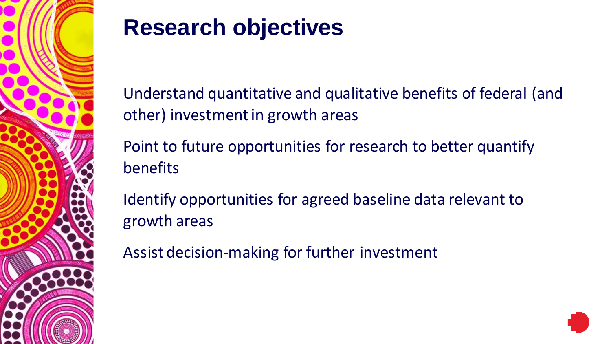

# **Research objectives**

Understand quantitative and qualitative benefits of federal (and other) investment in growth areas

Point to future opportunities for research to better quantify benefits

Identify opportunities for agreed baseline data relevant to growth areas

Assist decision-making for further investment

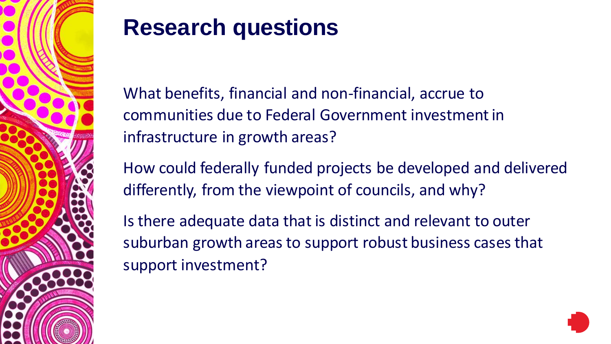

## **Research questions**

What benefits, financial and non-financial, accrue to communities due to Federal Government investment in infrastructure in growth areas?

How could federally funded projects be developed and delivered differently, from the viewpoint of councils, and why?

Is there adequate data that is distinct and relevant to outer suburban growth areas to support robust business cases that support investment?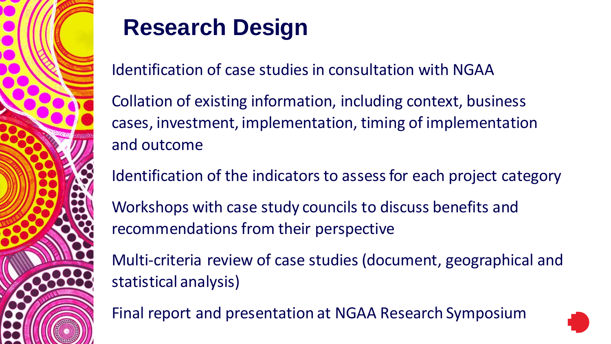

# **Research Design**

Identification of case studies in consultation with NGAA

Collation of existing information, including context, business cases, investment, implementation, timing of implementation and outcome

Identification of the indicators to assess for each project category

Workshops with case study councils to discuss benefits and recommendations from their perspective

Multi-criteria review of case studies (document, geographical and statistical analysis)

Final report and presentation at NGAA Research Symposium

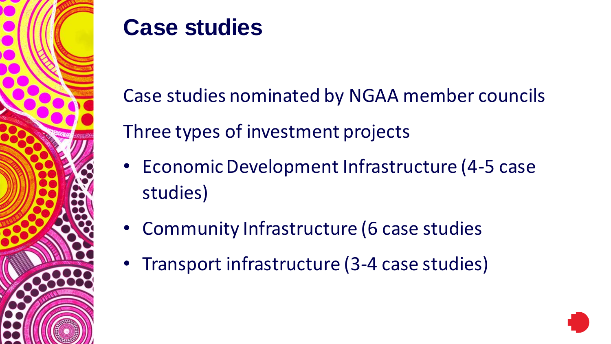

### **Case studies**

Case studies nominated by NGAA member councils Three types of investment projects

- Economic Development Infrastructure (4-5 case studies)
- Community Infrastructure (6 case studies
- Transport infrastructure (3-4 case studies)

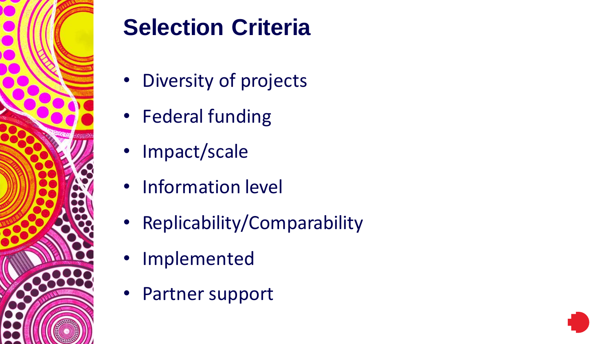

# **Selection Criteria**

- Diversity of projects
- Federal funding
- Impact/scale
- Information level
- Replicability/Comparability
- Implemented
- Partner support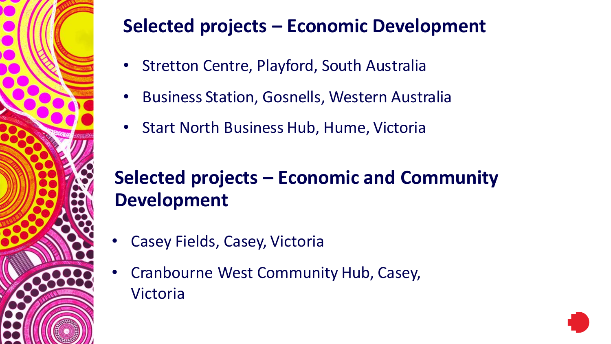

#### **Selected projects – Economic Development**

- Stretton Centre, Playford, South Australia
- Business Station, Gosnells, Western Australia
- Start North Business Hub, Hume, Victoria

#### **Selected projects – Economic and Community Development**

- Casey Fields, Casey, Victoria
- Cranbourne West Community Hub, Casey, Victoria

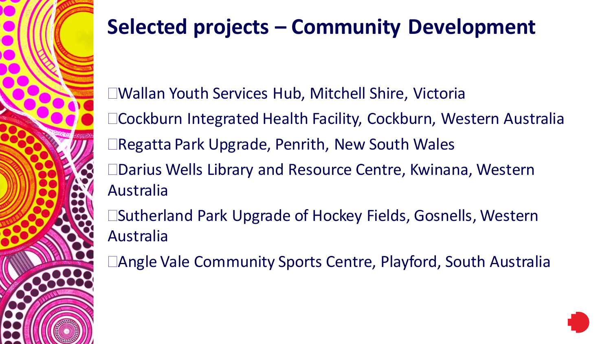

### **Selected projects – Community Development**

Wallan Youth Services Hub, Mitchell Shire, Victoria Cockburn Integrated Health Facility, Cockburn, Western Australia Regatta Park Upgrade, Penrith, New South Wales Darius Wells Library and Resource Centre, Kwinana, Western Australia □Sutherland Park Upgrade of Hockey Fields, Gosnells, Western Australia

□Angle Vale Community Sports Centre, Playford, South Australia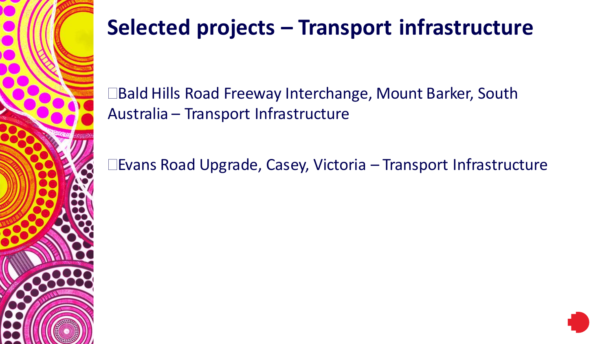

### **Selected projects – Transport infrastructure**

□Bald Hills Road Freeway Interchange, Mount Barker, South Australia – Transport Infrastructure

Evans Road Upgrade, Casey, Victoria – Transport Infrastructure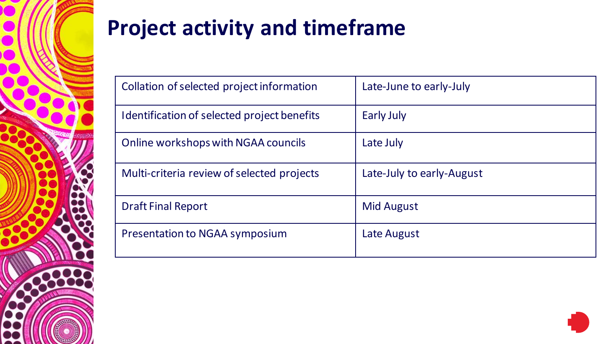

### **Project activity and timeframe**

| Collation of selected project information   | Late-June to early-July   |
|---------------------------------------------|---------------------------|
| Identification of selected project benefits | <b>Early July</b>         |
| Online workshops with NGAA councils         | Late July                 |
| Multi-criteria review of selected projects  | Late-July to early-August |
| <b>Draft Final Report</b>                   | <b>Mid August</b>         |
| Presentation to NGAA symposium              | Late August               |